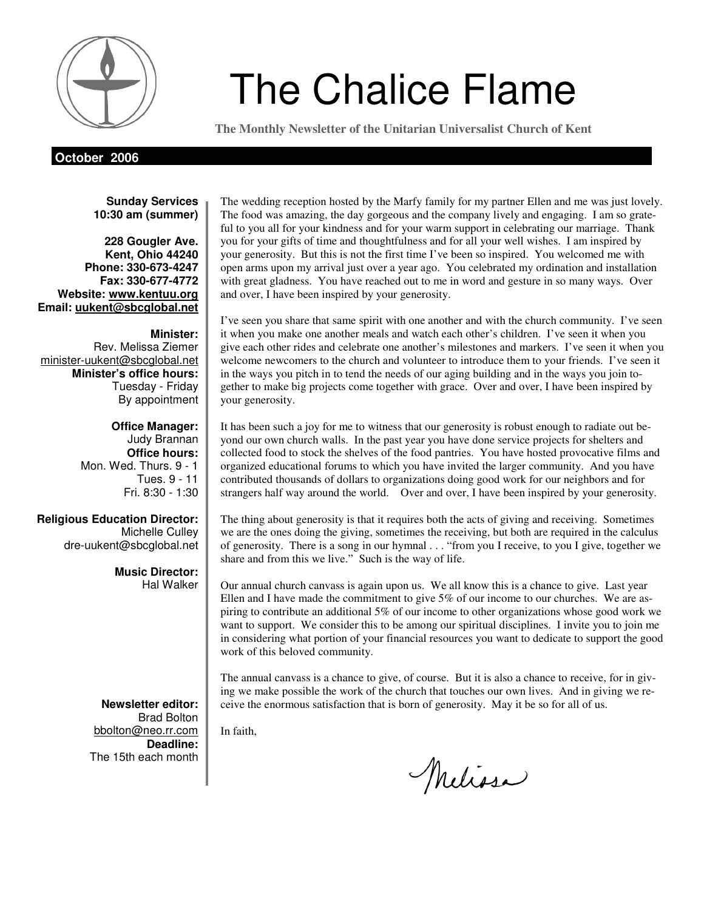

# *Mode* The Chalice Flame

**The Monthly Newsletter of the Unitarian Universalist Church of Kent** 

**October 2006** 

**Sunday Services 10:30 am (summer)** 

**228 Gougler Ave. Kent, Ohio 44240 Phone: 330-673-4247 Fax: 330-677-4772 Website: www.kentuu.org Email: uukent@sbcglobal.net**

**Minister:**  Rev. Melissa Ziemer minister-uukent@sbcglobal.net **Minister's office hours:**  Tuesday - Friday By appointment

> **Office Manager:** Judy Brannan **Office hours:** Mon. Wed. Thurs. 9 - 1 Tues. 9 - 11 Fri. 8:30 - 1:30

**Religious Education Director:**  Michelle Culley dre-uukent@sbcglobal.net

> **Music Director:**  Hal Walker

**Newsletter editor:**  Brad Bolton bbolton@neo.rr.com **Deadline:**  The 15th each month

The wedding reception hosted by the Marfy family for my partner Ellen and me was just lovely. The food was amazing, the day gorgeous and the company lively and engaging. I am so grateful to you all for your kindness and for your warm support in celebrating our marriage. Thank you for your gifts of time and thoughtfulness and for all your well wishes. I am inspired by your generosity. But this is not the first time I've been so inspired. You welcomed me with open arms upon my arrival just over a year ago. You celebrated my ordination and installation with great gladness. You have reached out to me in word and gesture in so many ways. Over and over, I have been inspired by your generosity.

I've seen you share that same spirit with one another and with the church community. I've seen it when you make one another meals and watch each other's children. I've seen it when you give each other rides and celebrate one another's milestones and markers. I've seen it when you welcome newcomers to the church and volunteer to introduce them to your friends. I've seen it in the ways you pitch in to tend the needs of our aging building and in the ways you join together to make big projects come together with grace. Over and over, I have been inspired by your generosity.

It has been such a joy for me to witness that our generosity is robust enough to radiate out beyond our own church walls. In the past year you have done service projects for shelters and collected food to stock the shelves of the food pantries. You have hosted provocative films and organized educational forums to which you have invited the larger community. And you have contributed thousands of dollars to organizations doing good work for our neighbors and for strangers half way around the world. Over and over, I have been inspired by your generosity.

The thing about generosity is that it requires both the acts of giving and receiving. Sometimes we are the ones doing the giving, sometimes the receiving, but both are required in the calculus of generosity. There is a song in our hymnal . . . "from you I receive, to you I give, together we share and from this we live." Such is the way of life.

Our annual church canvass is again upon us. We all know this is a chance to give. Last year Ellen and I have made the commitment to give  $5\%$  of our income to our churches. We are aspiring to contribute an additional 5% of our income to other organizations whose good work we want to support. We consider this to be among our spiritual disciplines. I invite you to join me in considering what portion of your financial resources you want to dedicate to support the good work of this beloved community.

The annual canvass is a chance to give, of course. But it is also a chance to receive, for in giving we make possible the work of the church that touches our own lives. And in giving we receive the enormous satisfaction that is born of generosity. May it be so for all of us.

In faith,

Melissa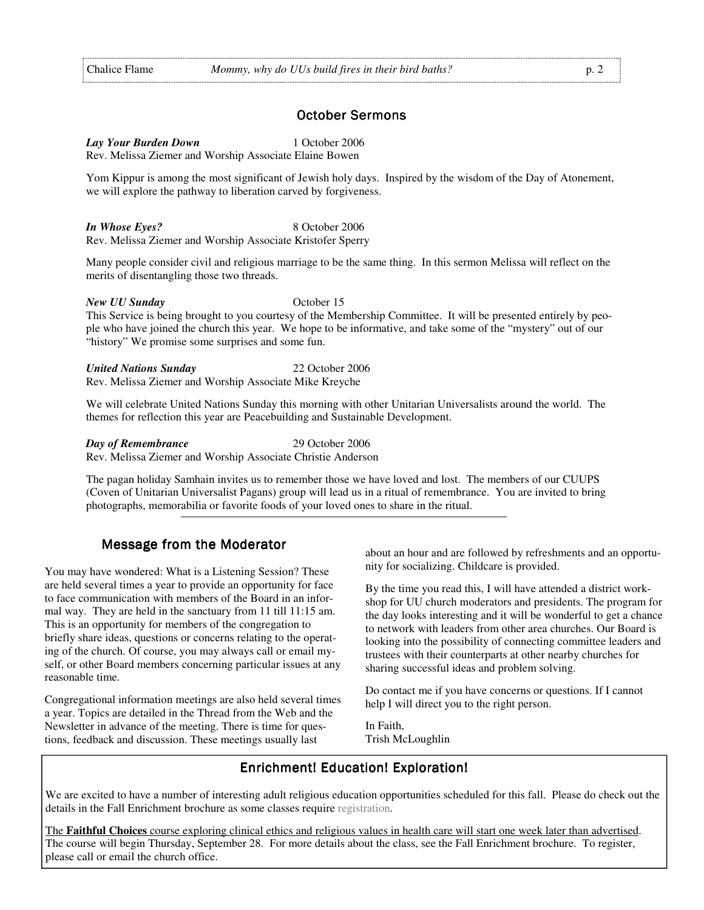#### October Sermons

*Lay Your Burden Down* 1 October 2006

Rev. Melissa Ziemer and Worship Associate Elaine Bowen

Yom Kippur is among the most significant of Jewish holy days. Inspired by the wisdom of the Day of Atonement, we will explore the pathway to liberation carved by forgiveness.

*In Whose Eyes?* 8 October 2006 Rev. Melissa Ziemer and Worship Associate Kristofer Sperry

Many people consider civil and religious marriage to be the same thing. In this sermon Melissa will reflect on the merits of disentangling those two threads.

#### *New UU Sunday* **October 15**

This Service is being brought to you courtesy of the Membership Committee. It will be presented entirely by people who have joined the church this year. We hope to be informative, and take some of the "mystery" out of our "history" We promise some surprises and some fun.

*United Nations Sunday* 22 October 2006 Rev. Melissa Ziemer and Worship Associate Mike Kreyche

We will celebrate United Nations Sunday this morning with other Unitarian Universalists around the world. The themes for reflection this year are Peacebuilding and Sustainable Development.

*Day of Remembrance* 29 October 2006 Rev. Melissa Ziemer and Worship Associate Christie Anderson

The pagan holiday Samhain invites us to remember those we have loved and lost. The members of our CUUPS (Coven of Unitarian Universalist Pagans) group will lead us in a ritual of remembrance. You are invited to bring photographs, memorabilia or favorite foods of your loved ones to share in the ritual.

#### Message from the Moderator

You may have wondered: What is a Listening Session? These are held several times a year to provide an opportunity for face to face communication with members of the Board in an informal way. They are held in the sanctuary from 11 till 11:15 am. This is an opportunity for members of the congregation to briefly share ideas, questions or concerns relating to the operating of the church. Of course, you may always call or email myself, or other Board members concerning particular issues at any reasonable time.

Congregational information meetings are also held several times a year. Topics are detailed in the Thread from the Web and the Newsletter in advance of the meeting. There is time for questions, feedback and discussion. These meetings usually last

about an hour and are followed by refreshments and an opportunity for socializing. Childcare is provided.

By the time you read this, I will have attended a district workshop for UU church moderators and presidents. The program for the day looks interesting and it will be wonderful to get a chance to network with leaders from other area churches. Our Board is looking into the possibility of connecting committee leaders and trustees with their counterparts at other nearby churches for sharing successful ideas and problem solving.

Do contact me if you have concerns or questions. If I cannot help I will direct you to the right person.

In Faith, Trish McLoughlin

## Enrichment! Education! Exploration!

We are excited to have a number of interesting adult religious education opportunities scheduled for this fall. Please do check out the details in the Fall Enrichment brochure as some classes require registration.

The **Faithful Choices** course exploring clinical ethics and religious values in health care will start one week later than advertised. The course will begin Thursday, September 28. For more details about the class, see the Fall Enrichment brochure. To register, please call or email the church office.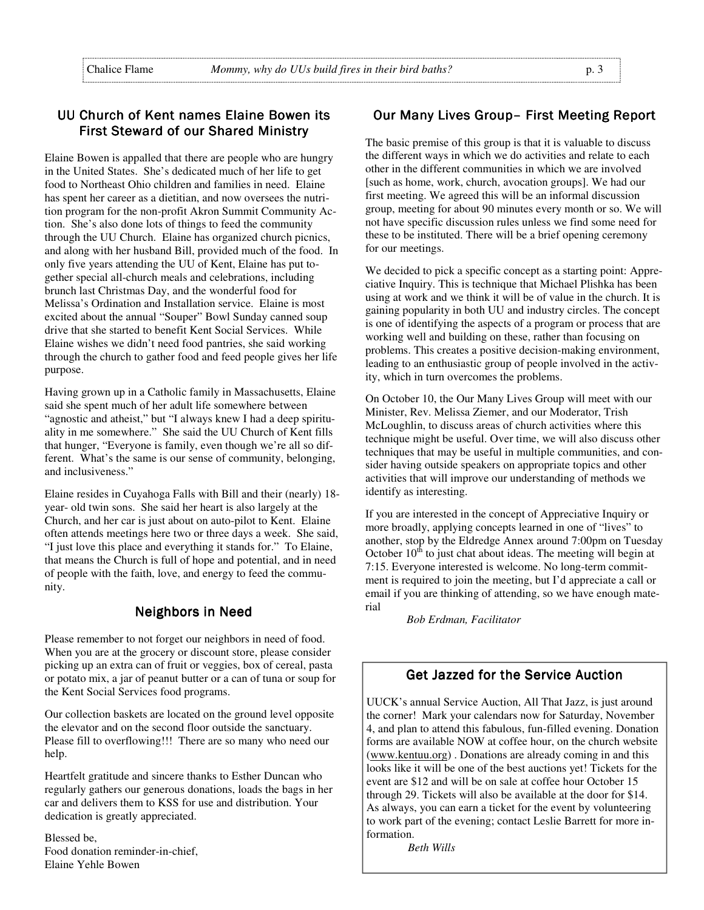## UU Church of Kent names Elaine Bowen its First Steward of our Shared Ministry

Elaine Bowen is appalled that there are people who are hungry in the United States. She's dedicated much of her life to get food to Northeast Ohio children and families in need. Elaine has spent her career as a dietitian, and now oversees the nutrition program for the non-profit Akron Summit Community Action. She's also done lots of things to feed the community through the UU Church. Elaine has organized church picnics, and along with her husband Bill, provided much of the food. In only five years attending the UU of Kent, Elaine has put together special all-church meals and celebrations, including brunch last Christmas Day, and the wonderful food for Melissa's Ordination and Installation service. Elaine is most excited about the annual "Souper" Bowl Sunday canned soup drive that she started to benefit Kent Social Services. While Elaine wishes we didn't need food pantries, she said working through the church to gather food and feed people gives her life purpose.

Having grown up in a Catholic family in Massachusetts, Elaine said she spent much of her adult life somewhere between "agnostic and atheist," but "I always knew I had a deep spirituality in me somewhere." She said the UU Church of Kent fills that hunger, "Everyone is family, even though we're all so different. What's the same is our sense of community, belonging, and inclusiveness."

Elaine resides in Cuyahoga Falls with Bill and their (nearly) 18 year- old twin sons. She said her heart is also largely at the Church, and her car is just about on auto-pilot to Kent. Elaine often attends meetings here two or three days a week. She said, "I just love this place and everything it stands for." To Elaine, that means the Church is full of hope and potential, and in need of people with the faith, love, and energy to feed the community.

## **Neighbors in Need**

Please remember to not forget our neighbors in need of food. When you are at the grocery or discount store, please consider picking up an extra can of fruit or veggies, box of cereal, pasta or potato mix, a jar of peanut butter or a can of tuna or soup for the Kent Social Services food programs.

Our collection baskets are located on the ground level opposite the elevator and on the second floor outside the sanctuary. Please fill to overflowing!!! There are so many who need our help.

Heartfelt gratitude and sincere thanks to Esther Duncan who regularly gathers our generous donations, loads the bags in her car and delivers them to KSS for use and distribution. Your dedication is greatly appreciated.

Blessed be, Food donation reminder-in-chief, Elaine Yehle Bowen

#### Our Many Lives Group– First Meeting Report

The basic premise of this group is that it is valuable to discuss the different ways in which we do activities and relate to each other in the different communities in which we are involved [such as home, work, church, avocation groups]. We had our first meeting. We agreed this will be an informal discussion group, meeting for about 90 minutes every month or so. We will not have specific discussion rules unless we find some need for these to be instituted. There will be a brief opening ceremony for our meetings.

We decided to pick a specific concept as a starting point: Appreciative Inquiry. This is technique that Michael Plishka has been using at work and we think it will be of value in the church. It is gaining popularity in both UU and industry circles. The concept is one of identifying the aspects of a program or process that are working well and building on these, rather than focusing on problems. This creates a positive decision-making environment, leading to an enthusiastic group of people involved in the activity, which in turn overcomes the problems.

On October 10, the Our Many Lives Group will meet with our Minister, Rev. Melissa Ziemer, and our Moderator, Trish McLoughlin, to discuss areas of church activities where this technique might be useful. Over time, we will also discuss other techniques that may be useful in multiple communities, and consider having outside speakers on appropriate topics and other activities that will improve our understanding of methods we identify as interesting.

If you are interested in the concept of Appreciative Inquiry or more broadly, applying concepts learned in one of "lives" to another, stop by the Eldredge Annex around 7:00pm on Tuesday October  $10<sup>th</sup>$  to just chat about ideas. The meeting will begin at 7:15. Everyone interested is welcome. No long-term commitment is required to join the meeting, but I'd appreciate a call or email if you are thinking of attending, so we have enough material

*Bob Erdman, Facilitator* 

## Get Jazzed for the Service Auction

UUCK's annual Service Auction, All That Jazz, is just around the corner! Mark your calendars now for Saturday, November 4, and plan to attend this fabulous, fun-filled evening. Donation forms are available NOW at coffee hour, on the church website (www.kentuu.org) . Donations are already coming in and this looks like it will be one of the best auctions yet! Tickets for the event are \$12 and will be on sale at coffee hour October 15 through 29. Tickets will also be available at the door for \$14. As always, you can earn a ticket for the event by volunteering to work part of the evening; contact Leslie Barrett for more information.

 *Beth Wills*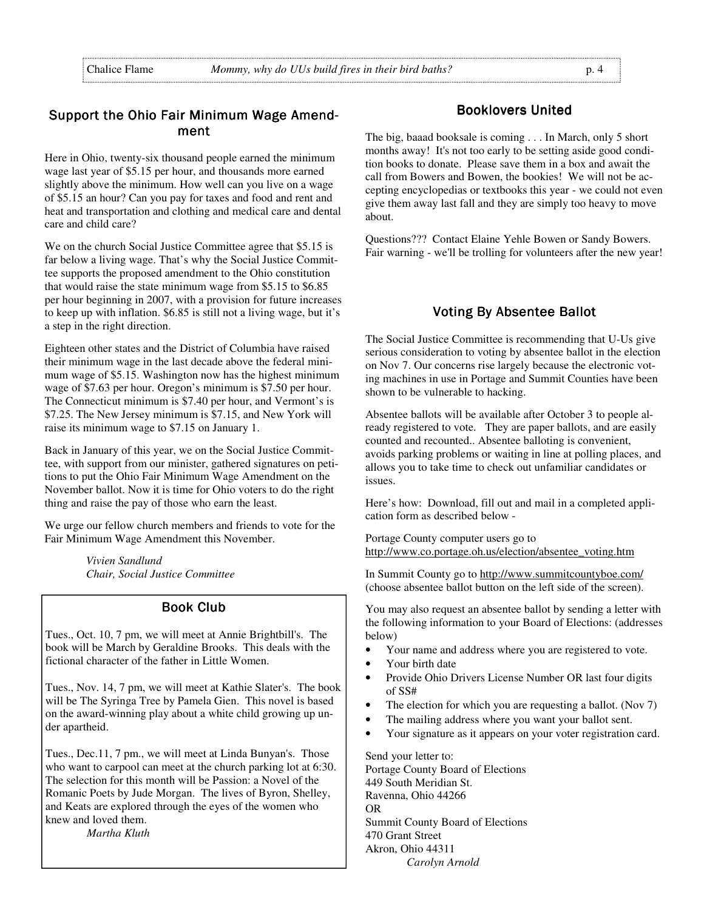## Support the Ohio Fair Minimum Wage Amendment

Here in Ohio, twenty-six thousand people earned the minimum wage last year of \$5.15 per hour, and thousands more earned slightly above the minimum. How well can you live on a wage of \$5.15 an hour? Can you pay for taxes and food and rent and heat and transportation and clothing and medical care and dental care and child care?

We on the church Social Justice Committee agree that \$5.15 is far below a living wage. That's why the Social Justice Committee supports the proposed amendment to the Ohio constitution that would raise the state minimum wage from \$5.15 to \$6.85 per hour beginning in 2007, with a provision for future increases to keep up with inflation. \$6.85 is still not a living wage, but it's a step in the right direction.

Eighteen other states and the District of Columbia have raised their minimum wage in the last decade above the federal minimum wage of \$5.15. Washington now has the highest minimum wage of \$7.63 per hour. Oregon's minimum is \$7.50 per hour. The Connecticut minimum is \$7.40 per hour, and Vermont's is \$7.25. The New Jersey minimum is \$7.15, and New York will raise its minimum wage to \$7.15 on January 1.

Back in January of this year, we on the Social Justice Committee, with support from our minister, gathered signatures on petitions to put the Ohio Fair Minimum Wage Amendment on the November ballot. Now it is time for Ohio voters to do the right thing and raise the pay of those who earn the least.

We urge our fellow church members and friends to vote for the Fair Minimum Wage Amendment this November.

> *Vivien Sandlund Chair, Social Justice Committee*

## **Book Club**

Tues., Oct. 10, 7 pm, we will meet at Annie Brightbill's. The book will be March by Geraldine Brooks. This deals with the fictional character of the father in Little Women.

Tues., Nov. 14, 7 pm, we will meet at Kathie Slater's. The book will be The Syringa Tree by Pamela Gien. This novel is based on the award-winning play about a white child growing up under apartheid.

Tues., Dec.11, 7 pm., we will meet at Linda Bunyan's. Those who want to carpool can meet at the church parking lot at 6:30. The selection for this month will be Passion: a Novel of the Romanic Poets by Jude Morgan. The lives of Byron, Shelley, and Keats are explored through the eyes of the women who knew and loved them.

*Martha Kluth* 

#### **Booklovers United**

The big, baaad booksale is coming . . . In March, only 5 short months away! It's not too early to be setting aside good condition books to donate. Please save them in a box and await the call from Bowers and Bowen, the bookies! We will not be accepting encyclopedias or textbooks this year - we could not even give them away last fall and they are simply too heavy to move about.

Questions??? Contact Elaine Yehle Bowen or Sandy Bowers. Fair warning - we'll be trolling for volunteers after the new year!

#### Voting By Absentee Ballot

The Social Justice Committee is recommending that U-Us give serious consideration to voting by absentee ballot in the election on Nov 7. Our concerns rise largely because the electronic voting machines in use in Portage and Summit Counties have been shown to be vulnerable to hacking.

Absentee ballots will be available after October 3 to people already registered to vote. They are paper ballots, and are easily counted and recounted.. Absentee balloting is convenient, avoids parking problems or waiting in line at polling places, and allows you to take time to check out unfamiliar candidates or issues.

Here's how: Download, fill out and mail in a completed application form as described below -

Portage County computer users go to http://www.co.portage.oh.us/election/absentee\_voting.htm

In Summit County go to http://www.summitcountyboe.com/ (choose absentee ballot button on the left side of the screen).

You may also request an absentee ballot by sending a letter with the following information to your Board of Elections: (addresses below)

- Your name and address where you are registered to vote.
- Your birth date
- Provide Ohio Drivers License Number OR last four digits of SS#
- The election for which you are requesting a ballot. (Nov 7)
- The mailing address where you want your ballot sent.
- Your signature as it appears on your voter registration card.

Send your letter to: Portage County Board of Elections 449 South Meridian St. Ravenna, Ohio 44266 OR Summit County Board of Elections 470 Grant Street Akron, Ohio 44311 *Carolyn Arnold*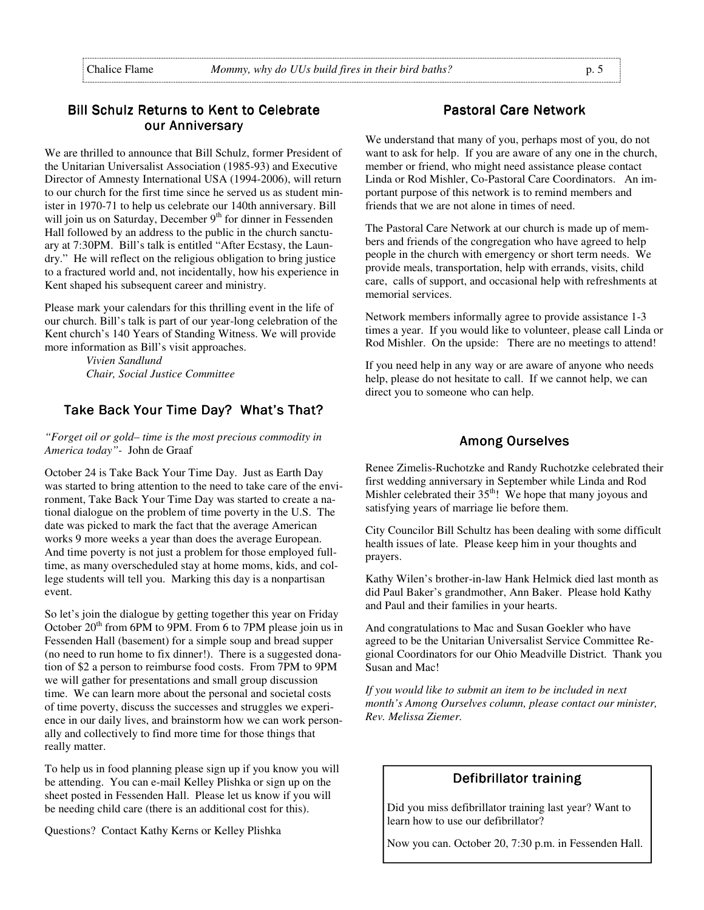## Bill Schulz Returns to Kent to Celebrate our Anniversary

We are thrilled to announce that Bill Schulz, former President of the Unitarian Universalist Association (1985-93) and Executive Director of Amnesty International USA (1994-2006), will return to our church for the first time since he served us as student minister in 1970-71 to help us celebrate our 140th anniversary. Bill will join us on Saturday, December 9<sup>th</sup> for dinner in Fessenden Hall followed by an address to the public in the church sanctuary at 7:30PM. Bill's talk is entitled "After Ecstasy, the Laundry." He will reflect on the religious obligation to bring justice to a fractured world and, not incidentally, how his experience in Kent shaped his subsequent career and ministry.

Please mark your calendars for this thrilling event in the life of our church. Bill's talk is part of our year-long celebration of the Kent church's 140 Years of Standing Witness. We will provide more information as Bill's visit approaches.

> *Vivien Sandlund Chair, Social Justice Committee*

## Take Back Your Time Day? What's That?

*"Forget oil or gold– time is the most precious commodity in America today"-* John de Graaf

October 24 is Take Back Your Time Day. Just as Earth Day was started to bring attention to the need to take care of the environment, Take Back Your Time Day was started to create a national dialogue on the problem of time poverty in the U.S. The date was picked to mark the fact that the average American works 9 more weeks a year than does the average European. And time poverty is not just a problem for those employed fulltime, as many overscheduled stay at home moms, kids, and college students will tell you. Marking this day is a nonpartisan event.

So let's join the dialogue by getting together this year on Friday October  $20<sup>th</sup>$  from 6PM to 9PM. From 6 to 7PM please join us in Fessenden Hall (basement) for a simple soup and bread supper (no need to run home to fix dinner!). There is a suggested donation of \$2 a person to reimburse food costs. From 7PM to 9PM we will gather for presentations and small group discussion time. We can learn more about the personal and societal costs of time poverty, discuss the successes and struggles we experience in our daily lives, and brainstorm how we can work personally and collectively to find more time for those things that really matter.

To help us in food planning please sign up if you know you will be attending. You can e-mail Kelley Plishka or sign up on the sheet posted in Fessenden Hall. Please let us know if you will be needing child care (there is an additional cost for this).

Questions? Contact Kathy Kerns or Kelley Plishka

#### Pastoral Care Network

We understand that many of you, perhaps most of you, do not want to ask for help. If you are aware of any one in the church, member or friend, who might need assistance please contact Linda or Rod Mishler, Co-Pastoral Care Coordinators. An important purpose of this network is to remind members and friends that we are not alone in times of need.

The Pastoral Care Network at our church is made up of members and friends of the congregation who have agreed to help people in the church with emergency or short term needs. We provide meals, transportation, help with errands, visits, child care, calls of support, and occasional help with refreshments at memorial services.

Network members informally agree to provide assistance 1-3 times a year. If you would like to volunteer, please call Linda or Rod Mishler. On the upside: There are no meetings to attend!

If you need help in any way or are aware of anyone who needs help, please do not hesitate to call. If we cannot help, we can direct you to someone who can help.

#### **Among Ourselves**

Renee Zimelis-Ruchotzke and Randy Ruchotzke celebrated their first wedding anniversary in September while Linda and Rod Mishler celebrated their  $35<sup>th</sup>$ ! We hope that many joyous and satisfying years of marriage lie before them.

City Councilor Bill Schultz has been dealing with some difficult health issues of late. Please keep him in your thoughts and prayers.

Kathy Wilen's brother-in-law Hank Helmick died last month as did Paul Baker's grandmother, Ann Baker. Please hold Kathy and Paul and their families in your hearts.

And congratulations to Mac and Susan Goekler who have agreed to be the Unitarian Universalist Service Committee Regional Coordinators for our Ohio Meadville District. Thank you Susan and Mac!

*If you would like to submit an item to be included in next month's Among Ourselves column, please contact our minister, Rev. Melissa Ziemer.* 

#### Defibrillator training

Did you miss defibrillator training last year? Want to learn how to use our defibrillator?

Now you can. October 20, 7:30 p.m. in Fessenden Hall.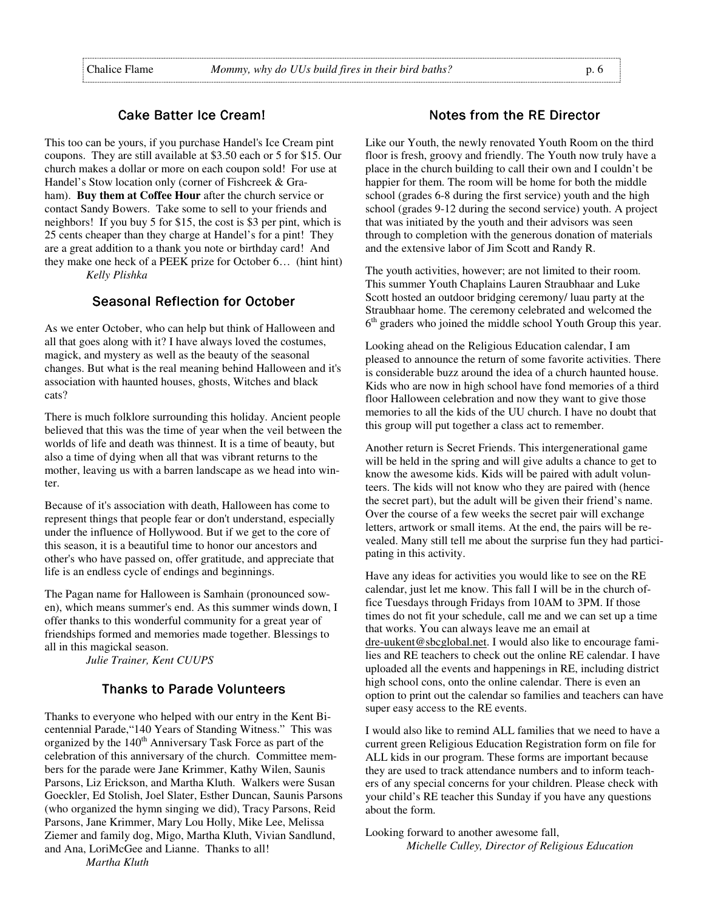#### Cake Batter Ice Cream!

This too can be yours, if you purchase Handel's Ice Cream pint coupons. They are still available at \$3.50 each or 5 for \$15. Our church makes a dollar or more on each coupon sold! For use at Handel's Stow location only (corner of Fishcreek & Graham). **Buy them at Coffee Hour** after the church service or contact Sandy Bowers. Take some to sell to your friends and neighbors! If you buy 5 for \$15, the cost is \$3 per pint, which is 25 cents cheaper than they charge at Handel's for a pint! They are a great addition to a thank you note or birthday card! And they make one heck of a PEEK prize for October 6… (hint hint) *Kelly Plishka* 

#### Seasonal Reflection for October

As we enter October, who can help but think of Halloween and all that goes along with it? I have always loved the costumes, magick, and mystery as well as the beauty of the seasonal changes. But what is the real meaning behind Halloween and it's association with haunted houses, ghosts, Witches and black cats?

There is much folklore surrounding this holiday. Ancient people believed that this was the time of year when the veil between the worlds of life and death was thinnest. It is a time of beauty, but also a time of dying when all that was vibrant returns to the mother, leaving us with a barren landscape as we head into winter.

Because of it's association with death, Halloween has come to represent things that people fear or don't understand, especially under the influence of Hollywood. But if we get to the core of this season, it is a beautiful time to honor our ancestors and other's who have passed on, offer gratitude, and appreciate that life is an endless cycle of endings and beginnings.

The Pagan name for Halloween is Samhain (pronounced sowen), which means summer's end. As this summer winds down, I offer thanks to this wonderful community for a great year of friendships formed and memories made together. Blessings to all in this magickal season.

*Julie Trainer, Kent CUUPS* 

 *Martha Kluth* 

## **Thanks to Parade Volunteers**

Thanks to everyone who helped with our entry in the Kent Bicentennial Parade,"140 Years of Standing Witness." This was organized by the  $140<sup>th</sup>$  Anniversary Task Force as part of the celebration of this anniversary of the church. Committee members for the parade were Jane Krimmer, Kathy Wilen, Saunis Parsons, Liz Erickson, and Martha Kluth. Walkers were Susan Goeckler, Ed Stolish, Joel Slater, Esther Duncan, Saunis Parsons (who organized the hymn singing we did), Tracy Parsons, Reid Parsons, Jane Krimmer, Mary Lou Holly, Mike Lee, Melissa Ziemer and family dog, Migo, Martha Kluth, Vivian Sandlund, and Ana, LoriMcGee and Lianne. Thanks to all!

#### Notes from the RE Director

Like our Youth, the newly renovated Youth Room on the third floor is fresh, groovy and friendly. The Youth now truly have a place in the church building to call their own and I couldn't be happier for them. The room will be home for both the middle school (grades 6-8 during the first service) youth and the high school (grades 9-12 during the second service) youth. A project that was initiated by the youth and their advisors was seen through to completion with the generous donation of materials and the extensive labor of Jim Scott and Randy R.

The youth activities, however; are not limited to their room. This summer Youth Chaplains Lauren Straubhaar and Luke Scott hosted an outdoor bridging ceremony/ luau party at the Straubhaar home. The ceremony celebrated and welcomed the  $6<sup>th</sup>$  graders who joined the middle school Youth Group this year.

Looking ahead on the Religious Education calendar, I am pleased to announce the return of some favorite activities. There is considerable buzz around the idea of a church haunted house. Kids who are now in high school have fond memories of a third floor Halloween celebration and now they want to give those memories to all the kids of the UU church. I have no doubt that this group will put together a class act to remember.

Another return is Secret Friends. This intergenerational game will be held in the spring and will give adults a chance to get to know the awesome kids. Kids will be paired with adult volunteers. The kids will not know who they are paired with (hence the secret part), but the adult will be given their friend's name. Over the course of a few weeks the secret pair will exchange letters, artwork or small items. At the end, the pairs will be revealed. Many still tell me about the surprise fun they had participating in this activity.

Have any ideas for activities you would like to see on the RE calendar, just let me know. This fall I will be in the church office Tuesdays through Fridays from 10AM to 3PM. If those times do not fit your schedule, call me and we can set up a time that works. You can always leave me an email at dre-uukent@sbcglobal.net. I would also like to encourage families and RE teachers to check out the online RE calendar. I have uploaded all the events and happenings in RE, including district high school cons, onto the online calendar. There is even an option to print out the calendar so families and teachers can have super easy access to the RE events.

I would also like to remind ALL families that we need to have a current green Religious Education Registration form on file for ALL kids in our program. These forms are important because they are used to track attendance numbers and to inform teachers of any special concerns for your children. Please check with your child's RE teacher this Sunday if you have any questions about the form.

Looking forward to another awesome fall,  *Michelle Culley, Director of Religious Education*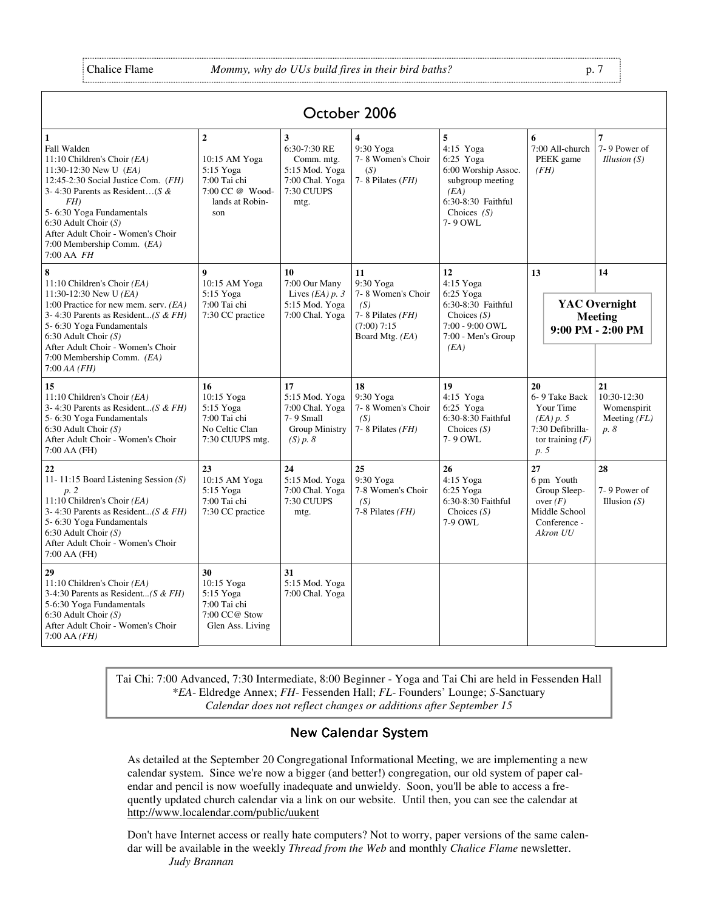England Communication

| October 2006                                                                                                                                                                                                                                                                                                       |                                                                                                           |                                                                                            |                                                                                                       |                                                                                                                                  |                                                                                                 |                                                                   |
|--------------------------------------------------------------------------------------------------------------------------------------------------------------------------------------------------------------------------------------------------------------------------------------------------------------------|-----------------------------------------------------------------------------------------------------------|--------------------------------------------------------------------------------------------|-------------------------------------------------------------------------------------------------------|----------------------------------------------------------------------------------------------------------------------------------|-------------------------------------------------------------------------------------------------|-------------------------------------------------------------------|
| $\mathbf{1}$<br>Fall Walden<br>11:10 Children's Choir (EA)<br>11:30-12:30 New U $(EA)$<br>12:45-2:30 Social Justice Com. $(FH)$<br>3-4:30 Parents as Resident(S &<br>FH)<br>5- 6:30 Yoga Fundamentals<br>$6:30$ Adult Choir $(S)$<br>After Adult Choir - Women's Choir<br>7:00 Membership Comm. (EA)<br>7:00 AA FH | $\overline{2}$<br>10:15 AM Yoga<br>5:15 Yoga<br>7:00 Tai chi<br>7:00 CC @ Wood-<br>lands at Robin-<br>son | 3<br>6:30-7:30 RE<br>Comm. mtg.<br>5:15 Mod. Yoga<br>7:00 Chal. Yoga<br>7:30 CUUPS<br>mtg. | 4<br>9:30 Yoga<br>7-8 Women's Choir<br>(S)<br>7-8 Pilates (FH)                                        | 5<br>4:15 Yoga<br>6:25 Yoga<br>6:00 Worship Assoc.<br>subgroup meeting<br>(EA)<br>6:30-8:30 Faithful<br>Choices $(S)$<br>7-9 OWL | 6<br>7:00 All-church<br>PEEK game<br>(FH)                                                       | 7<br>7-9 Power of<br><i>Illusion</i> $(S)$                        |
| 8<br>11:10 Children's Choir $(EA)$<br>11:30-12:30 New U $(EA)$<br>1:00 Practice for new mem. serv. $(EA)$<br>3-4:30 Parents as Resident(S & FH)<br>5-6:30 Yoga Fundamentals<br>$6:30$ Adult Choir $(S)$<br>After Adult Choir - Women's Choir<br>7:00 Membership Comm. (EA)<br>$7:00AA$ (FH)                        | $\boldsymbol{9}$<br>10:15 AM Yoga<br>5:15 Yoga<br>7:00 Tai chi<br>7:30 CC practice                        | 10<br>7:00 Our Many<br>Lives $(EA) p. 3$<br>5:15 Mod. Yoga<br>7:00 Chal. Yoga              | 11<br>9:30 Yoga<br>7-8 Women's Choir<br>(S)<br>7-8 Pilates (FH)<br>$(7:00)$ $7:15$<br>Board Mtg. (EA) | 12<br>4:15 Yoga<br>$6:25$ Yoga<br>6:30-8:30 Faithful<br>Choices $(S)$<br>7:00 - 9:00 OWL<br>7:00 - Men's Group<br>(EA)           | 13                                                                                              | 14<br><b>YAC</b> Overnight<br><b>Meeting</b><br>9:00 PM - 2:00 PM |
| 15<br>11:10 Children's Choir (EA)<br>3-4:30 Parents as Resident(S & FH)<br>5- 6:30 Yoga Fundamentals<br>$6:30$ Adult Choir $(S)$<br>After Adult Choir - Women's Choir<br>7:00 AA (FH)                                                                                                                              | 16<br>10:15 Yoga<br>5:15 Yoga<br>7:00 Tai chi<br>No Celtic Clan<br>7:30 CUUPS mtg.                        | 17<br>5:15 Mod. Yoga<br>7:00 Chal. Yoga<br>7-9 Small<br>Group Ministry<br>(S) p. 8         | 18<br>9:30 Yoga<br>7-8 Women's Choir<br>(S)<br>$7-8$ Pilates ( $FH$ )                                 | 19<br>4:15 Yoga<br>6:25 Yoga<br>6:30-8:30 Faithful<br>Choices $(S)$<br>7-9 OWL                                                   | 20<br>6-9 Take Back<br>Your Time<br>(EA) p. 5<br>7:30 Defibrilla-<br>tor training $(F)$<br>p. 5 | 21<br>10:30-12:30<br>Womenspirit<br>Meeting $(FL)$<br>p. 8        |
| 22<br>11-11:15 Board Listening Session $(S)$<br>p. 2<br>11:10 Children's Choir (EA)<br>3-4:30 Parents as Resident(S & FH)<br>5-6:30 Yoga Fundamentals<br>$6:30$ Adult Choir $(S)$<br>After Adult Choir - Women's Choir<br>7:00 AA (FH)                                                                             | 23<br>10:15 AM Yoga<br>5:15 Yoga<br>7:00 Tai chi<br>7:30 CC practice                                      | 24<br>5:15 Mod. Yoga<br>7:00 Chal. Yoga<br>7:30 CUUPS<br>mtg.                              | 25<br>9:30 Yoga<br>7-8 Women's Choir<br>(S)<br>7-8 Pilates (FH)                                       | 26<br>$4:15$ Yoga<br>$6:25$ Yoga<br>6:30-8:30 Faithful<br>Choices $(S)$<br>7-9 OWL                                               | 27<br>6 pm Youth<br>Group Sleep-<br>over $(F)$<br>Middle School<br>Conference -<br>Akron UU     | 28<br>7-9 Power of<br>Illusion $(S)$                              |
| 29<br>11:10 Children's Choir $(EA)$<br>3-4:30 Parents as Resident(S & FH)<br>5-6:30 Yoga Fundamentals<br>6:30 Adult Choir $(S)$<br>After Adult Choir - Women's Choir<br>$7:00$ AA $(FH)$                                                                                                                           | 30<br>10:15 Yoga<br>5:15 Yoga<br>7:00 Tai chi<br>7:00 CC@ Stow<br>Glen Ass. Living                        | 31<br>5:15 Mod. Yoga<br>7:00 Chal. Yoga                                                    |                                                                                                       |                                                                                                                                  |                                                                                                 |                                                                   |

Tai Chi: 7:00 Advanced, 7:30 Intermediate, 8:00 Beginner - Yoga and Tai Chi are held in Fessenden Hall \**EA*- Eldredge Annex; *FH*- Fessenden Hall; *FL*- Founders' Lounge; *S*-Sanctuary *Calendar does not reflect changes or additions after September 15*

## **New Calendar System**

As detailed at the September 20 Congregational Informational Meeting, we are implementing a new calendar system. Since we're now a bigger (and better!) congregation, our old system of paper calendar and pencil is now woefully inadequate and unwieldy. Soon, you'll be able to access a frequently updated church calendar via a link on our website. Until then, you can see the calendar at http://www.localendar.com/public/uukent

Don't have Internet access or really hate computers? Not to worry, paper versions of the same calendar will be available in the weekly *Thread from the Web* and monthly *Chalice Flame* newsletter. *Judy Brannan*